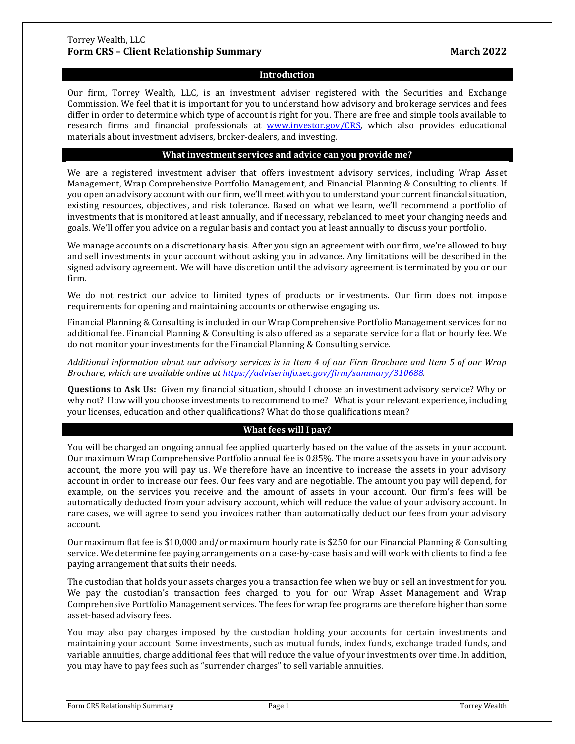## Torrey Wealth, LLC **Form CRS – Client Relationship Summary March 2022**

## **Introduction**

Our firm, Torrey Wealth, LLC, is an investment adviser registered with the Securities and Exchange Commission. We feel that it is important for you to understand how advisory and brokerage services and fees differ in order to determine which type of account is right for you. There are free and simple tools available to research firms and financial professionals at [www.investor.gov/CRS,](http://www.investor.gov/CRS) which also provides educational materials about investment advisers, broker-dealers, and investing.

# **What investment services and advice can you provide me?**

We are a registered investment adviser that offers investment advisory services, including Wrap Asset Management, Wrap Comprehensive Portfolio Management, and Financial Planning & Consulting to clients. If you open an advisory account with our firm, we'll meet with you to understand your current financial situation, existing resources, objectives, and risk tolerance. Based on what we learn, we'll recommend a portfolio of investments that is monitored at least annually, and if necessary, rebalanced to meet your changing needs and goals. We'll offer you advice on a regular basis and contact you at least annually to discuss your portfolio.

We manage accounts on a discretionary basis. After you sign an agreement with our firm, we're allowed to buy and sell investments in your account without asking you in advance. Any limitations will be described in the signed advisory agreement. We will have discretion until the advisory agreement is terminated by you or our firm.

We do not restrict our advice to limited types of products or investments. Our firm does not impose requirements for opening and maintaining accounts or otherwise engaging us.

Financial Planning & Consulting is included in our Wrap Comprehensive Portfolio Management services for no additional fee. Financial Planning & Consulting is also offered as a separate service for a flat or hourly fee. We do not monitor your investments for the Financial Planning & Consulting service.

*Additional information about our advisory services is in Item 4 of our Firm Brochure and Item 5 of our Wrap Brochure, which are available online at [https://adviserinfo.sec.gov/firm/summary/310688.](https://adviserinfo.sec.gov/firm/summary/7)*

**Questions to Ask Us:** Given my financial situation, should I choose an investment advisory service? Why or why not? How will you choose investments to recommend to me? What is your relevant experience, including your licenses, education and other qualifications? What do those qualifications mean?

# **What fees will I pay?**

You will be charged an ongoing annual fee applied quarterly based on the value of the assets in your account. Our maximum Wrap Comprehensive Portfolio annual fee is 0.85%. The more assets you have in your advisory account, the more you will pay us. We therefore have an incentive to increase the assets in your advisory account in order to increase our fees. Our fees vary and are negotiable. The amount you pay will depend, for example, on the services you receive and the amount of assets in your account. Our firm's fees will be automatically deducted from your advisory account, which will reduce the value of your advisory account. In rare cases, we will agree to send you invoices rather than automatically deduct our fees from your advisory account.

Our maximum flat fee is \$10,000 and/or maximum hourly rate is \$250 for our Financial Planning & Consulting service. We determine fee paying arrangements on a case-by-case basis and will work with clients to find a fee paying arrangement that suits their needs.

The custodian that holds your assets charges you a transaction fee when we buy or sell an investment for you. We pay the custodian's transaction fees charged to you for our Wrap Asset Management and Wrap Comprehensive Portfolio Management services. The fees for wrap fee programs are therefore higher than some asset-based advisory fees.

You may also pay charges imposed by the custodian holding your accounts for certain investments and maintaining your account. Some investments, such as mutual funds, index funds, exchange traded funds, and variable annuities, charge additional fees that will reduce the value of your investments over time. In addition, you may have to pay fees such as "surrender charges" to sell variable annuities.